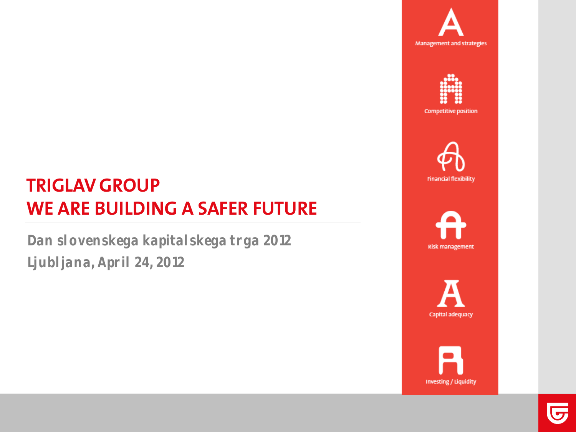





## **TRIGLAV GROUP WE ARE BUILDING A SAFER FUTURE**

**Dan slovenskega kapitalskega trga 2012 Ljubljana, April 24, 2012**





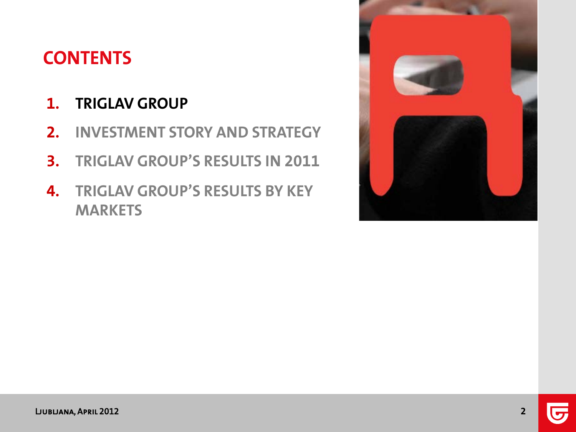## **CONTENTS**

### **1. TRIGLAV GROUP**

- **2. INVESTMENT STORY AND STRATEGY**
- **3. TRIGLAV GROUP'S RESULTS IN 2011**
- **4. TRIGLAV GROUP'S RESULTS BY KEY MARKETS**

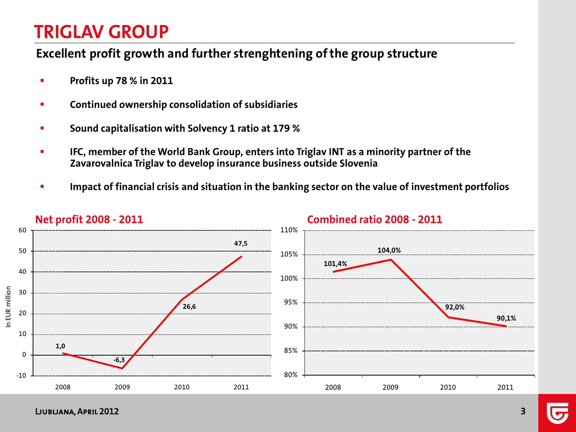#### **Excellent profit growth and further strenghtening of the group structure**

- **Profits up 78 % in 2011**
- **EXECONTIFY CONTINUED OWNERSHIP CONSOLIGATION OF SUBSIDIATIES**
- **Sound capitalisation with Solvency 1 ratio at 179 %**
- **IFC, member of the World Bank Group, enters into Triglav INT as a minority partner of the Zavarovalnica Triglav to develop insurance business outside Slovenia**
- **Impact of financial crisis and situation in the banking sector on the value of investment portfolios**



**Net profit 2008 - 2011 Combined ratio 2008 - 2011**

Ljubljana, April 2012 **3**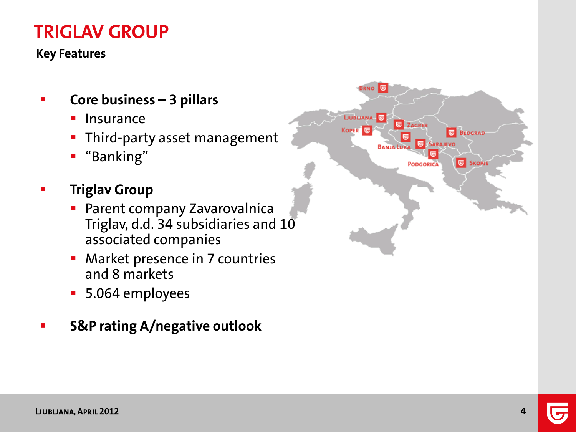#### **Key Features**

- **Core business – 3 pillars**
	- **Insurance**
	- **Third-party asset management**
	- "Banking"
- **Figlav Group** 
	- **Parent company Zavarovalnica** Triglav, d.d. 34 subsidiaries and 10 associated companies
	- **Market presence in 7 countries** and 8 markets
	- 5.064 employees
- **S&P rating A/negative outlook**

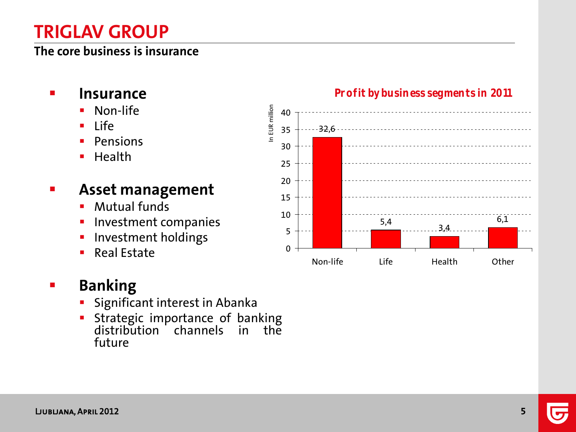#### **The core business is insurance**

- **Insurance**
	- Non-life
	- $Life$
	- Pensions
	- $\blacksquare$  Health

### **Asset management**

- **Mutual funds**
- Investment companies
- **Investment holdings**
- Real Estate

### **Banking**

- Significant interest in Abanka
- Strategic importance of banking distribution channels in the future



#### **Profit by business segments in 2011**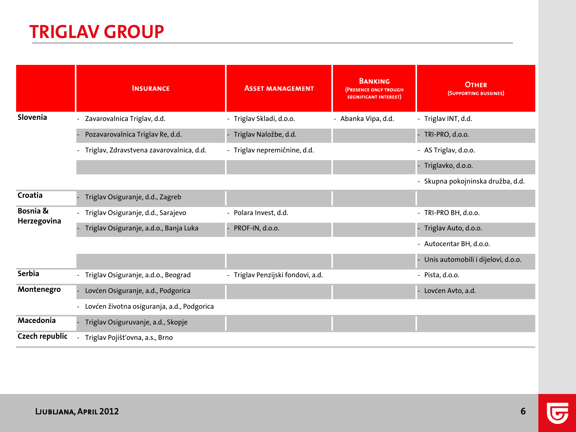|                         | <b>INSURANCE</b>                           | <b>ASSET MANAGEMENT</b>           | <b>BANKING</b><br><b>(PRESENCE ONLY TROUGH</b><br><b>SEGNIFICANT INTEREST)</b> | <b>OTHER</b><br>(SUPPORTING BUSSINES) |
|-------------------------|--------------------------------------------|-----------------------------------|--------------------------------------------------------------------------------|---------------------------------------|
| Slovenia                | - Zavarovalnica Triglav, d.d.              | - Triglav Skladi, d.o.o.          | - Abanka Vipa, d.d.                                                            | - Triglav INT, d.d.                   |
|                         | Pozavarovalnica Triglav Re, d.d.           | Triglav Naložbe, d.d.             |                                                                                | - TRI-PRO, d.o.o.                     |
|                         | - Triglav, Zdravstvena zavarovalnica, d.d. | - Triglav nepremičnine, d.d.      |                                                                                | - AS Triglav, d.o.o.                  |
|                         |                                            |                                   |                                                                                | - Triglavko, d.o.o.                   |
|                         |                                            |                                   |                                                                                | - Skupna pokojninska družba, d.d.     |
| Croatia                 | Triglav Osiguranje, d.d., Zagreb           |                                   |                                                                                |                                       |
| Bosnia &<br>Herzegovina | - Triglav Osiguranje, d.d., Sarajevo       | - Polara Invest, d.d.             |                                                                                | - TRI-PRO BH, d.o.o.                  |
|                         | Triglav Osiguranje, a.d.o., Banja Luka     | PROF-IN, d.o.o.                   |                                                                                | - Triglav Auto, d.o.o.                |
|                         |                                            |                                   |                                                                                | - Autocentar BH, d.o.o.               |
|                         |                                            |                                   |                                                                                | - Unis automobili i dijelovi, d.o.o.  |
| <b>Serbia</b>           | - Triglav Osiguranje, a.d.o., Beograd      | - Triglav Penzijski fondovi, a.d. |                                                                                | $-$ Pista, d.o.o.                     |
| Montenegro              | Lovćen Osiguranje, a.d., Podgorica         |                                   |                                                                                | Lovćen Avto, a.d.                     |
|                         | Lovćen životna osiguranja, a.d., Podgorica |                                   |                                                                                |                                       |
| Macedonia               | Triglav Osiguruvanje, a.d., Skopje         |                                   |                                                                                |                                       |
| <b>Czech republic</b>   | Triglav Pojišťovna, a.s., Brno             |                                   |                                                                                |                                       |

5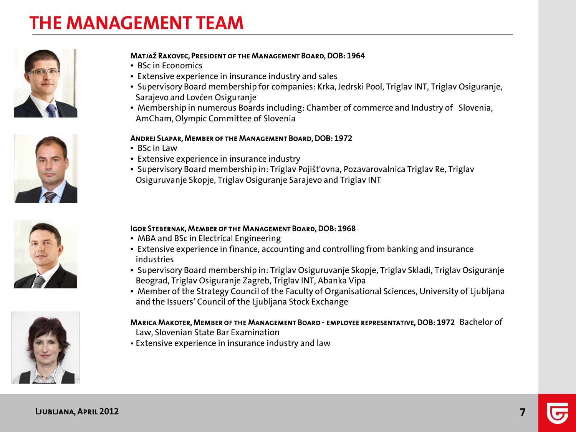## **THE MANAGEMENT TEAM**









#### Matjaž Rakovec, President of the Management Board, DOB: 1964

- BSc in Economics
- Extensive experience in insurance industry and sales
- Supervisory Board membership for companies: Krka, Jedrski Pool, Triglav INT, Triglav Osiguranje, Sarajevo and Lovćen Osiguranje
- Membership in numerous Boards including: Chamber of commerce and Industry of Slovenia, AmCham, Olympic Committee of Slovenia

#### Andrej Slapar, Member of the Management Board, DOB: 1972

- BSc in Law
- Extensive experience in insurance industry
- Supervisory Board membership in: Triglav Pojišt'ovna, Pozavarovalnica Triglav Re, Triglav Osiguruvanje Skopje, Triglav Osiguranje Sarajevo and Triglav INT

#### Igor Stebernak, Member of the Management Board, DOB: 1968

- MBA and BSc in Electrical Engineering
- Extensive experience in finance, accounting and controlling from banking and insurance industries
- Supervisory Board membership in: Triglav Osiguruvanje Skopje, Triglav Skladi, Triglav Osiguranje Beograd, Triglav Osiguranje Zagreb, Triglav INT, Abanka Vipa
- Member of the Strategy Council of the Faculty of Organisational Sciences, University of Ljubljana and the Issuers' Council of the Ljubljana Stock Exchange

#### Marica Makoter, Member of the Management Board - employee representative, DOB: 1972 Bachelor of

- Law, Slovenian State Bar Examination
- Extensive experience in insurance industry and law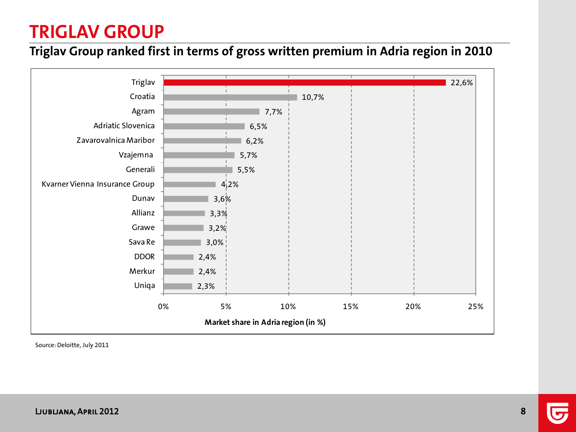#### **Triglav Group ranked first in terms of gross written premium in Adria region in 2010**



Source: Deloitte, July 2011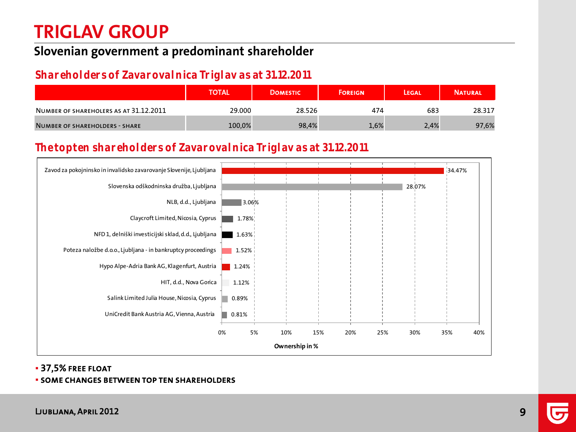#### **Slovenian government a predominant shareholder**

#### **Shareholders of Zavarovalnica Triglav as at 31.12.2011**

|                                        | <b>TOTAL</b> | <b>DOMESTIC</b> | <b>FOREIGN</b> | LEGAL | <b>NATURAL</b> |
|----------------------------------------|--------------|-----------------|----------------|-------|----------------|
| NUMBER OF SHAREHOLERS AS AT 31.12.2011 | 29.000       | 28.526          | 474            | 683   | 28.317         |
| NUMBER OF SHAREHOLDERS - SHARE         | 100,0%       | 98,4%           | 1,6%           | 2,4%  | 97,6%          |

#### **The top ten shareholders of Zavarovalnica Triglav as at 31.12.2011**



#### 37,5% free float

#### some changes between top ten shareholders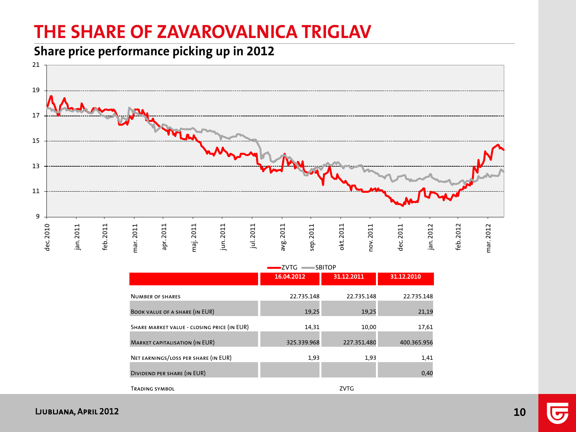## **THE SHARE OF ZAVAROVALNICA TRIGLAV**

**Share price performance picking up in 2012**



|                                             | ∍∠∨ i G<br>∍SBHOP |             |             |  |  |
|---------------------------------------------|-------------------|-------------|-------------|--|--|
|                                             | 16.04.2012        | 31.12.2011  | 31.12.2010  |  |  |
| <b>NUMBER OF SHARES</b>                     | 22.735.148        | 22.735.148  | 22.735.148  |  |  |
| <b>BOOK VALUE OF A SHARE (IN EUR)</b>       | 19,25             | 19,25       | 21,19       |  |  |
| SHARE MARKET VALUE - CLOSING PRICE (IN EUR) | 14,31             | 10,00       | 17,61       |  |  |
| <b>MARKET CAPITALISATION (IN EUR)</b>       | 325.339.968       | 227.351.480 | 400.365.956 |  |  |
| NET EARNINGS/LOSS PER SHARE (IN EUR)        | 1,93              | 1,93        | 1,41        |  |  |
| DIVIDEND PER SHARE (IN EUR)                 |                   |             | 0,40        |  |  |
| <b>TRADING SYMBOL</b>                       |                   | <b>ZVTG</b> |             |  |  |

ZVTG SBITOP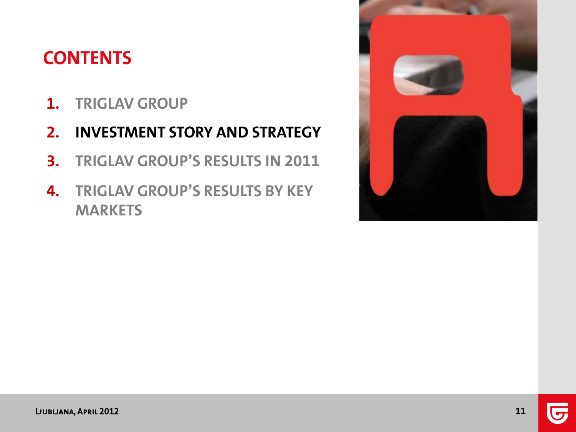## **CONTENTS**

- **1. TRIGLAV GROUP**
- **2. INVESTMENT STORY AND STRATEGY**
- **3. TRIGLAV GROUP'S RESULTS IN 2011**
- **4. TRIGLAV GROUP'S RESULTS BY KEY MARKETS**

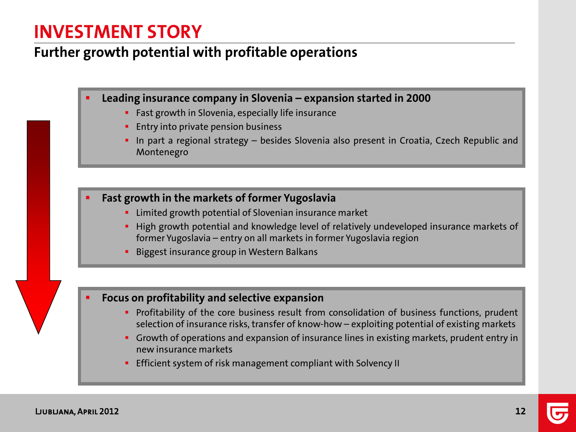### **INVESTMENT STORY**

#### **Further growth potential with profitable operations**

- **Leading insurance company in Slovenia – expansion started in 2000**
	- **Fast growth in Slovenia, especially life insurance**
	- **Entry into private pension business**
	- In part a regional strategy besides Slovenia also present in Croatia, Czech Republic and Montenegro
- **Fast growth in the markets of former Yugoslavia**
	- **EXTE:** Limited growth potential of Slovenian insurance market
	- **High growth potential and knowledge level of relatively undeveloped insurance markets of** former Yugoslavia – entry on all markets in former Yugoslavia region
	- Biggest insurance group in Western Balkans

#### **Focus on profitability and selective expansion**

- **Profitability of the core business result from consolidation of business functions, prudent** selection of insurance risks, transfer of know-how – exploiting potential of existing markets
- **Growth of operations and expansion of insurance lines in existing markets, prudent entry in** new insurance markets
- **Efficient system of risk management compliant with Solvency II**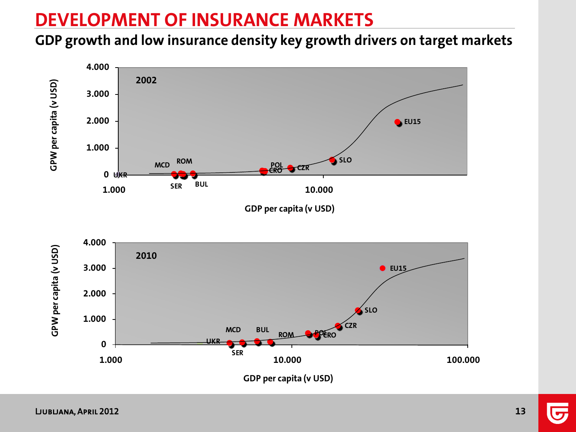## **DEVELOPMENT OF INSURANCE MARKETS**

#### **GDP growth and low insurance density key growth drivers on target markets**

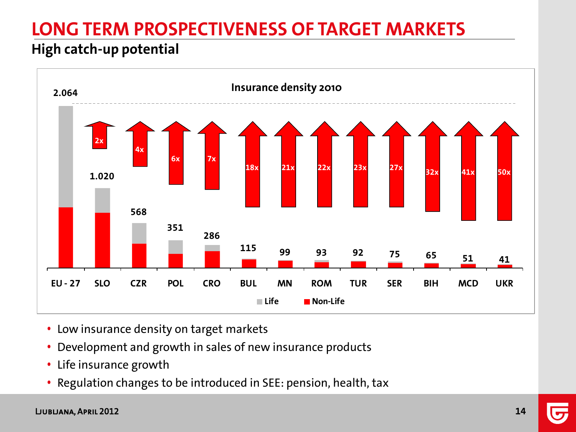# **LONG TERM PROSPECTIVENESS OF TARGET MARKETS**

#### **High catch-up potential**



- Low insurance density on target markets
- Development and growth in sales of new insurance products
- Life insurance growth
- Regulation changes to be introduced in SEE: pension, health, tax

#### Ljubljana, April 2012 **14**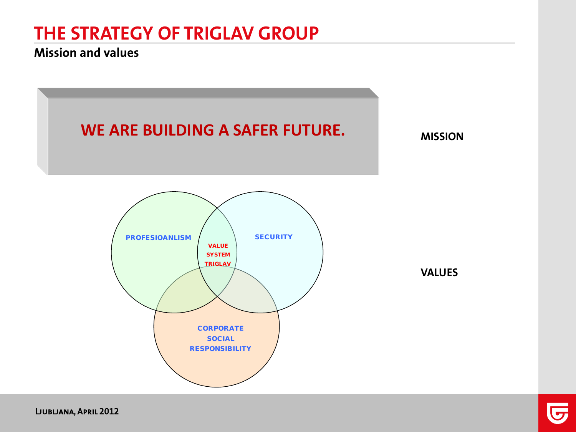#### **Mission and values**



Ljubljana, April 2012

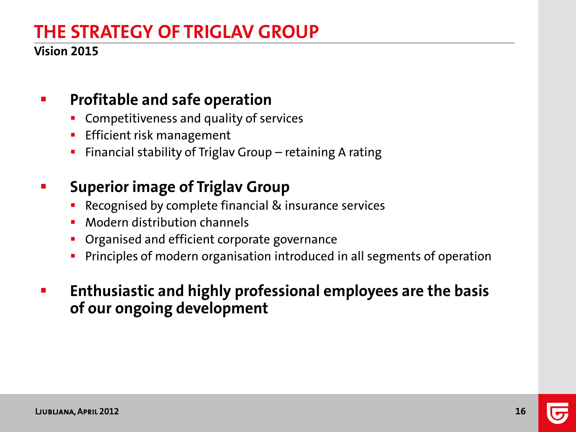#### **Vision 2015**

### **Profitable and safe operation**

- Competitiveness and quality of services
- **Efficient risk management**
- Financial stability of Triglav Group retaining A rating

### **EXEC** Superior image of Triglav Group

- **Recognised by complete financial & insurance services**
- **Modern distribution channels**
- **Organised and efficient corporate governance**
- **Principles of modern organisation introduced in all segments of operation**
- **Enthusiastic and highly professional employees are the basis of our ongoing development**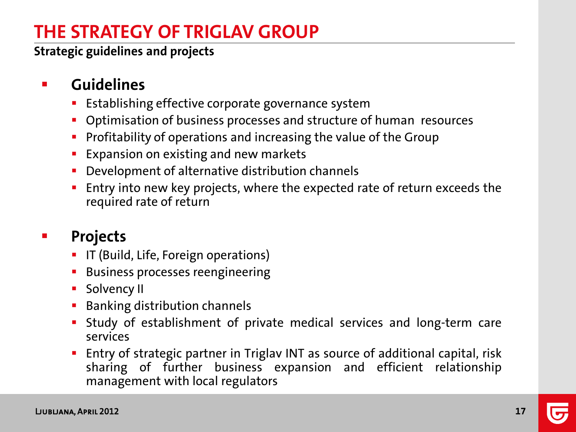**Strategic guidelines and projects**

### **E** Guidelines

- Establishing effective corporate governance system
- **Optimisation of business processes and structure of human resources**
- **Profitability of operations and increasing the value of the Group**
- **Expansion on existing and new markets**
- **Development of alternative distribution channels**
- **Entry into new key projects, where the expected rate of return exceeds the** required rate of return

### **Projects**

- **IF (Build, Life, Foreign operations)**
- **Business processes reengineering**
- **Solvency II**
- **Banking distribution channels**
- Study of establishment of private medical services and long-term care services
- Entry of strategic partner in Triglav INT as source of additional capital, risk sharing of further business expansion and efficient relationship management with local regulators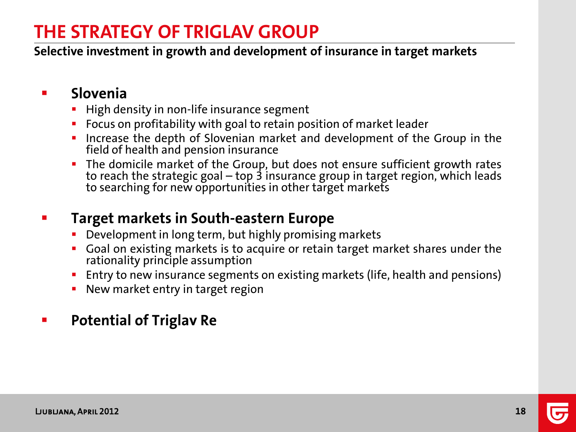**Selective investment in growth and development of insurance in target markets**

#### **Slovenia**

- **High density in non-life insurance segment**
- **FIDU** Focus on profitability with goal to retain position of market leader
- **Increase the depth of Slovenian market and development of the Group in the** field of health and pension insurance
- The domicile market of the Group, but does not ensure sufficient growth rates to reach the strategic goal – top 3 insurance group in target region, which leads to searching for new opportunities in other target markets

#### **Target markets in South-eastern Europe**

- **•** Development in long term, but highly promising markets
- **Goal on existing markets is to acquire or retain target market shares under the** rationality principle assumption
- **Entry to new insurance segments on existing markets (life, health and pensions)**
- New market entry in target region

#### **Figure 21 Potential of Triglav Re**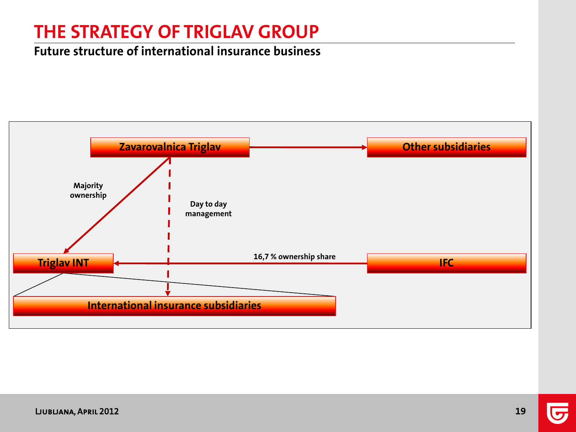#### **Future structure of international insurance business**

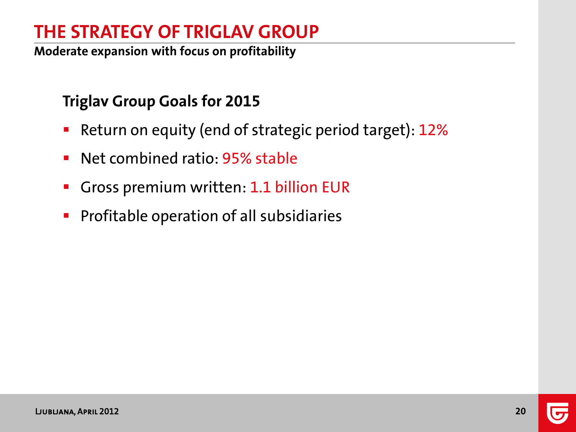**Moderate expansion with focus on profitability**

### **Triglav Group Goals for 2015**

- **Return on equity (end of strategic period target): 12%**
- **Net combined ratio: 95% stable**
- Gross premium written: 1.1 billion EUR
- **Profitable operation of all subsidiaries**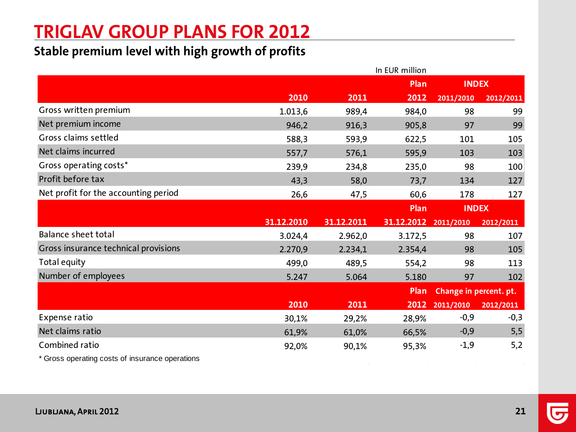## **TRIGLAV GROUP PLANS FOR 2012**

#### **Stable premium level with high growth of profits**

|                                      |            |            | In EUR million |                        |           |
|--------------------------------------|------------|------------|----------------|------------------------|-----------|
|                                      |            |            | Plan           | <b>INDEX</b>           |           |
|                                      | 2010       | 2011       | 2012           | 2011/2010              | 2012/2011 |
| Gross written premium                | 1.013,6    | 989,4      | 984,0          | 98                     | 99        |
| Net premium income                   | 946,2      | 916,3      | 905,8          | 97                     | 99        |
| Gross claims settled                 | 588,3      | 593,9      | 622,5          | 101                    | 105       |
| Net claims incurred                  | 557,7      | 576,1      | 595,9          | 103                    | 103       |
| Gross operating costs*               | 239,9      | 234,8      | 235,0          | 98                     | 100       |
| Profit before tax                    | 43,3       | 58,0       | 73,7           | 134                    | 127       |
| Net profit for the accounting period | 26,6       | 47,5       | 60,6           | 178                    | 127       |
|                                      |            |            | Plan           | <b>INDEX</b>           |           |
|                                      |            |            |                |                        |           |
|                                      | 31.12.2010 | 31.12.2011 | 31.12.2012     | 2011/2010              | 2012/2011 |
| Balance sheet total                  | 3.024,4    | 2.962,0    | 3.172,5        | 98                     | 107       |
| Gross insurance technical provisions | 2.270,9    | 2.234,1    | 2.354,4        | 98                     | 105       |
| Total equity                         | 499,0      | 489,5      | 554,2          | 98                     | 113       |
| Number of employees                  | 5.247      | 5.064      | 5.180          | 97                     | 102       |
|                                      |            |            | Plan           | Change in percent. pt. |           |
|                                      | 2010       | 2011       | 2012           | 2011/2010              | 2012/2011 |
| Expense ratio                        | 30,1%      | 29,2%      | 28,9%          | $-0,9$                 | $-0,3$    |
| Net claims ratio                     | 61,9%      | 61,0%      | 66,5%          | $-0,9$                 | 5,5       |
| Combined ratio                       | 92,0%      | 90,1%      | 95,3%          | $-1,9$                 | 5,2       |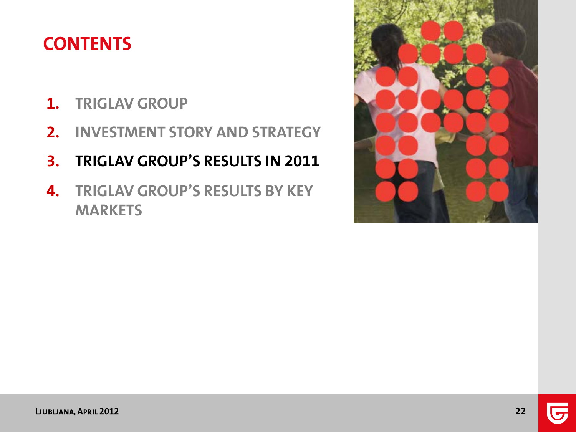## **CONTENTS**

- **1. TRIGLAV GROUP**
- **2. INVESTMENT STORY AND STRATEGY**
- **3. TRIGLAV GROUP'S RESULTS IN 2011**
- **4. TRIGLAV GROUP'S RESULTS BY KEY MARKETS**

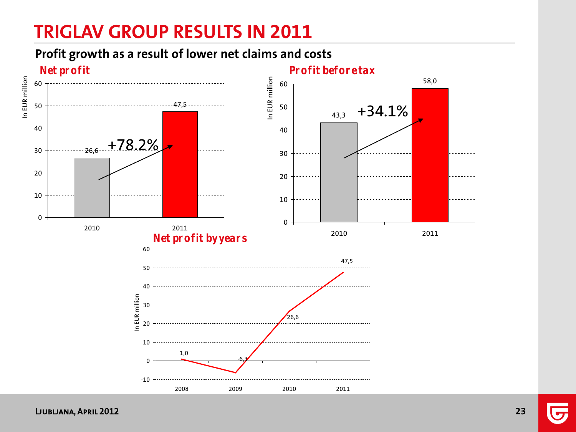## **TRIGLAV GROUP RESULTS IN 2011**

#### **Profit growth as a result of lower net claims and costs**

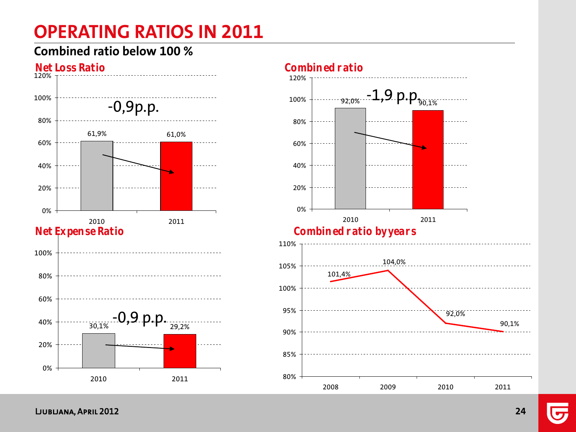## **OPERATING RATIOS IN 2011**

#### **Combined ratio below 100 %**



Ljubljana, April 2012

90,1%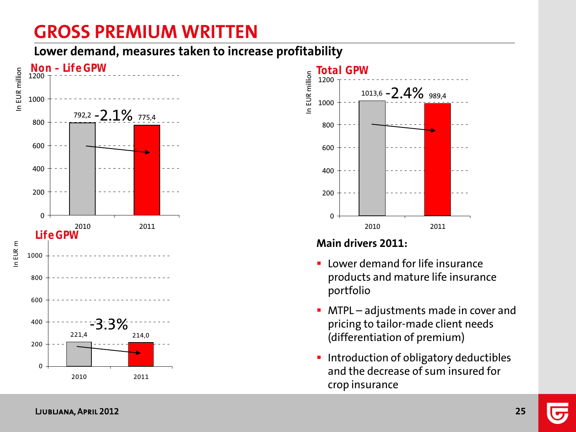## **GROSS PREMIUM WRITTEN**

**Lower demand, measures taken to increase profitability** 





#### **Main drivers 2011:**

- **E** Lower demand for life insurance products and mature life insurance portfolio
- **MTPL** adjustments made in cover and pricing to tailor-made client needs (differentiation of premium)
- **Introduction of obligatory deductibles** and the decrease of sum insured for crop insurance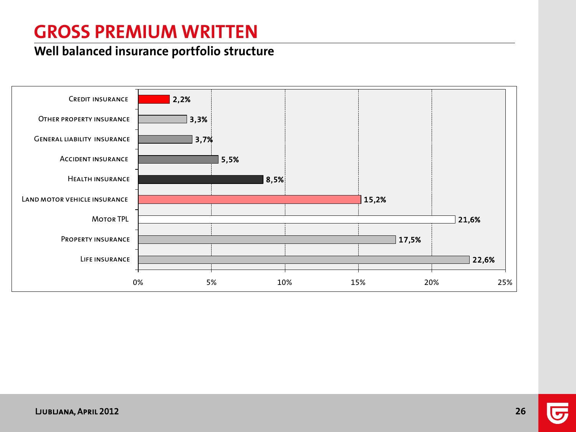## **GROSS PREMIUM WRITTEN**

#### **Well balanced insurance portfolio structure**

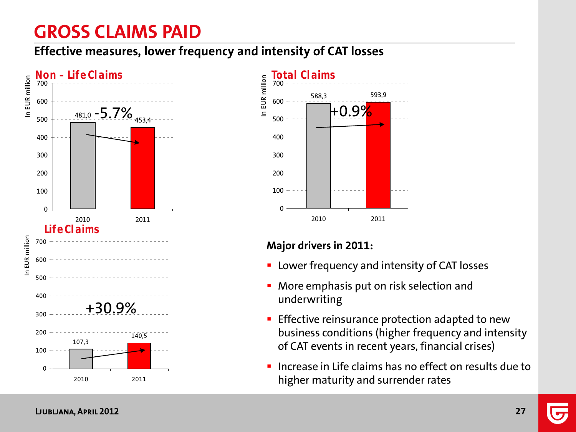## **GROSS CLAIMS PAID**

**Effective measures, lower frequency and intensity of CAT losses**





#### **Major drivers in 2011:**

- **EX Lower frequency and intensity of CAT losses**
- More emphasis put on risk selection and underwriting
- **Effective reinsurance protection adapted to new** business conditions (higher frequency and intensity of CAT events in recent years, financial crises)
- Increase in Life claims has no effect on results due to higher maturity and surrender rates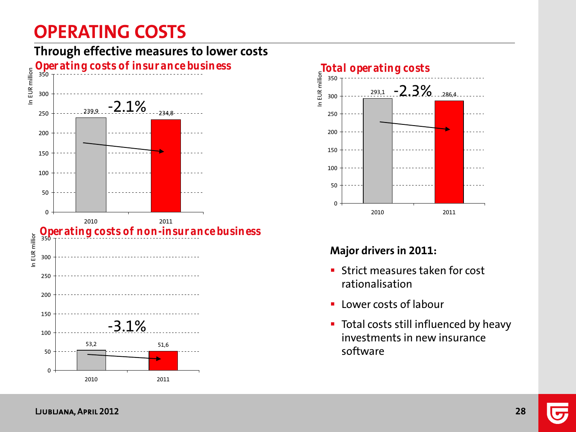## **OPERATING COSTS**







#### **Major drivers in 2011:**

- **Strict measures taken for cost** rationalisation
- **-** Lower costs of labour
- **Total costs still influenced by heavy** investments in new insurance software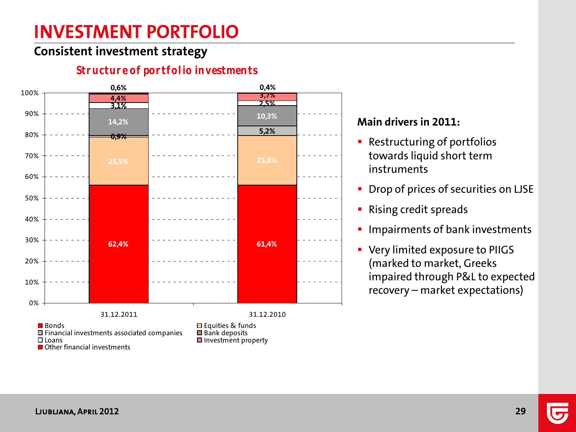## **INVESTMENT PORTFOLIO**

#### **Consistent investment strategy**

#### **62,4% 61,4% 25,5% 25,8% 0,9% 5,2% 14,2% 10,3% 3,1% 2,5% 4,4% 3,7% 0,6% 0,4%** 0% 10% 20% 30% 40% 50% 60% 70% 80% 90% 100% 31.12.2011 31.12.2010 **Bonds Equities & funds**<br> **Example 3** Financial investments associated companies **Example 3** Bank deposits  $\Box$  Financial investments associated companies  $\Box$  I pans  $\blacksquare$  Investment property **■** Other financial investments

#### **Structure of portfolio investments**

#### **Main drivers in 2011:**

- **Restructuring of portfolios** towards liquid short term instruments
- **Drop of prices of securities on LJSE**
- **Rising credit spreads**
- **Impairments of bank investments**
- **Very limited exposure to PIIGS** (marked to market, Greeks impaired through P&L to expected recovery – market expectations)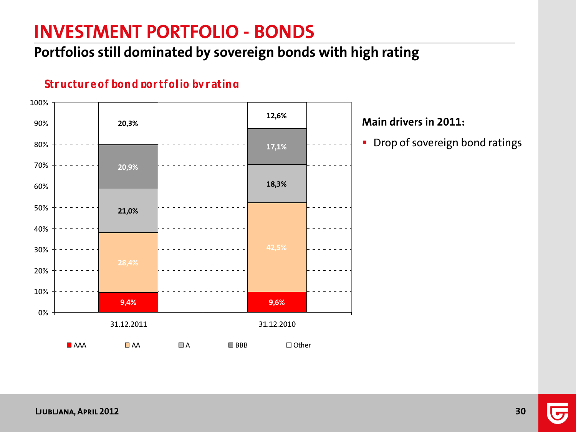## **INVESTMENT PORTFOLIO - BONDS**

### **Portfolios still dominated by sovereign bonds with high rating**

#### **Structure of bond portfolio by rating**



#### **Main drivers in 2011:**

**•** Drop of sovereign bond ratings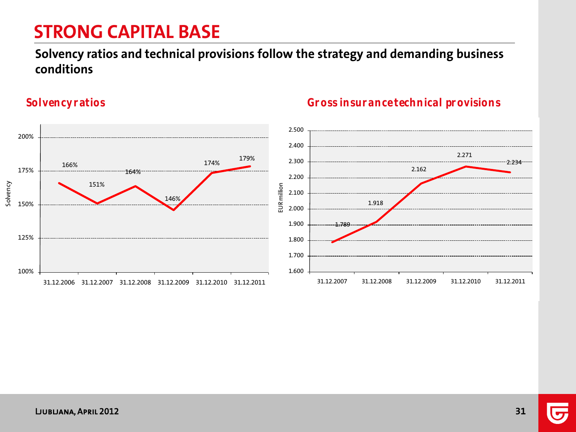## **STRONG CAPITAL BASE**

#### **Solvency ratios and technical provisions follow the strategy and demanding business conditions**

Solvency



#### **Solvency ratios Gross insurance technical provisions**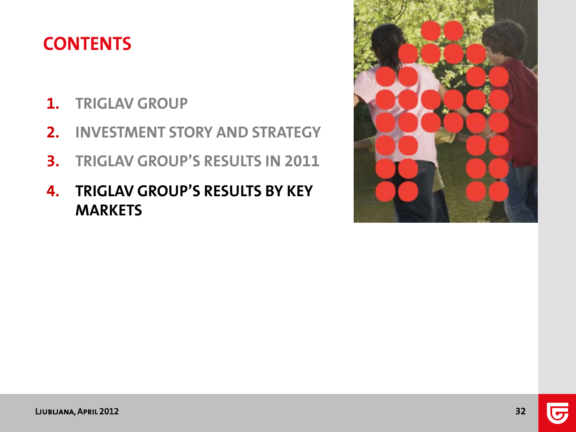## **CONTENTS**

- **1. TRIGLAV GROUP**
- **2. INVESTMENT STORY AND STRATEGY**
- **3. TRIGLAV GROUP'S RESULTS IN 2011**
- **4. TRIGLAV GROUP'S RESULTS BY KEY MARKETS**

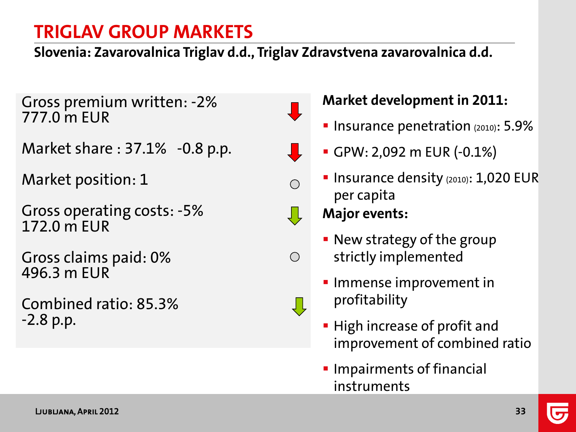**Slovenia: Zavarovalnica Triglav d.d., Triglav Zdravstvena zavarovalnica d.d.**

Gross premium written: -2% 777.0 m EUR

Market share : 37.1% -0.8 p.p.

Market position: 1

Gross operating costs: -5% 172.0 m EUR

Gross claims paid: 0% 496.3 m EUR

Combined ratio: 85.3% -2.8 p.p.



 $\bigcirc$ 

### **Market development in 2011:**

- **Insurance penetration (2010): 5.9%**
- GPW: 2,092 m EUR (-0.1%)
- **Insurance density (2010): 1,020 EUR** per capita

- **New strategy of the group** strictly implemented
- **Immense improvement in** profitability
- **High increase of profit and** improvement of combined ratio
- **Impairments of financial** instruments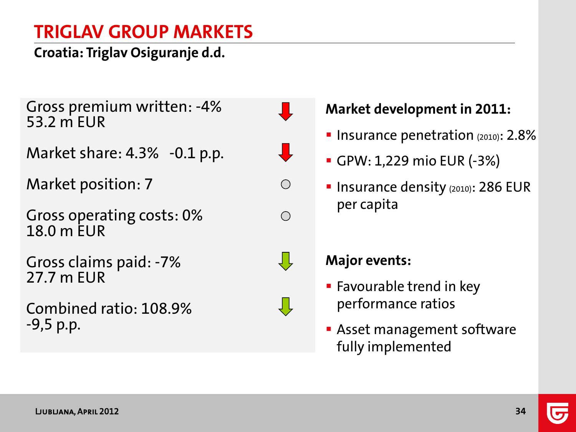**Croatia: Triglav Osiguranje d.d.**

Gross premium written: -4% 53.2 m EUR

Market share: 4.3% -0.1 p.p.

Market position: 7

Gross operating costs: 0% 18.0 m EUR

Gross claims paid: -7% 27.7 m EUR

Combined ratio: 108.9% -9,5 p.p.



₹Ļ

Ų Ļ

### **Market development in 2011:**

- **Insurance penetration**  $(2010)$ : 2.8%
- GPW: 1,229 mio EUR (-3%)
- **Insurance density (2010): 286 EUR** per capita

- **Favourable trend in key** performance ratios
- **Asset management software** fully implemented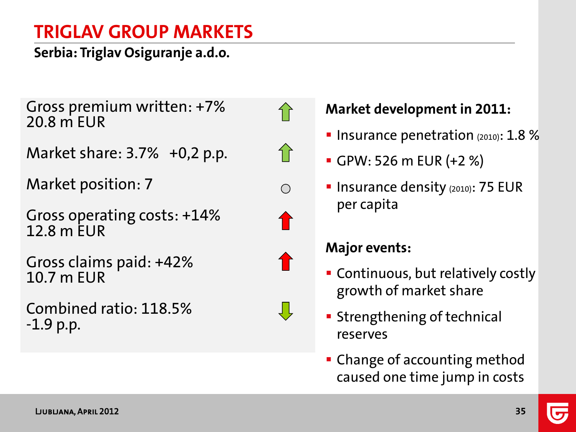**Serbia: Triglav Osiguranje a.d.o.**

Gross premium written: +7% 20.8 m EUR

Market share: 3.7% +0,2 p.p.

Market position: 7

Gross operating costs: +14% 12.8 m EUR

Gross claims paid: +42% 10.7 m EUR

Combined ratio: 118.5% -1.9 p.p.







### **Market development in 2011:**

- **Insurance penetration**  $(2010)$ : 1.8 %
- GPW: 526 m EUR (+2 %)
- **Insurance density (2010): 75 EUR** per capita

- Continuous, but relatively costly growth of market share
- **Strengthening of technical** reserves
- **Change of accounting method** caused one time jump in costs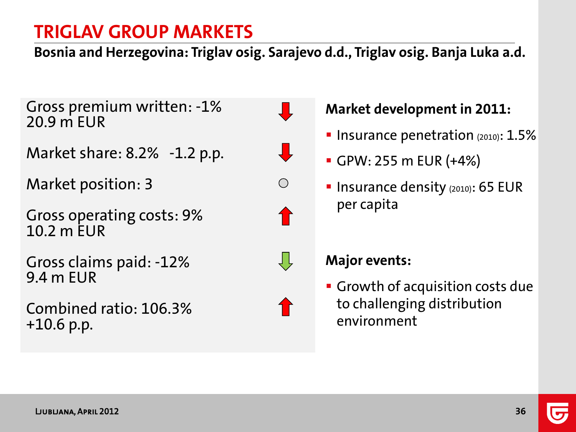**Bosnia and Herzegovina: Triglav osig. Sarajevo d.d., Triglav osig. Banja Luka a.d.**

Gross premium written: -1% 20.9 m EUR

Market share: 8.2% -1.2 p.p.

Market position: 3

Gross operating costs: 9% 10.2 m EUR

Gross claims paid: -12% 9.4 m EUR

Combined ratio: 106.3% +10.6 p.p.







#### **Major events:**

per capita

**Growth of acquisition costs due** to challenging distribution environment

**Market development in 2011:**

GPW: 255 m EUR (+4%)

**Insurance penetration**  $(2010)$ :  $1.5\%$ 

**Insurance density (2010): 65 EUR**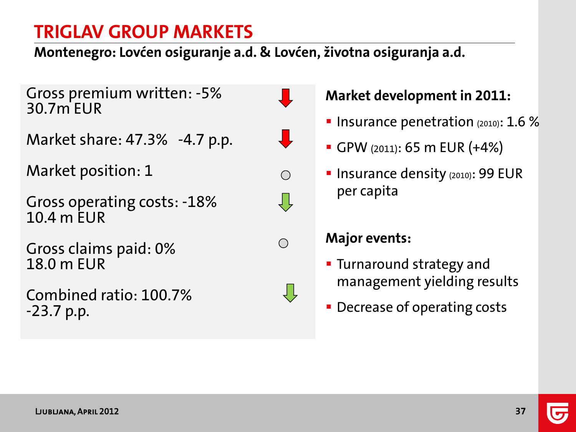**Montenegro: Lovćen osiguranje a.d. & Lovćen, životna osiguranja a.d.**

Gross premium written: -5% 30.7m EUR

Market share: 47.3% -4.7 p.p.

Market position: 1

Gross operating costs: -18% 10.4 m EUR

Gross claims paid: 0% 18.0 m EUR

Combined ratio: 100.7% -23.7 p.p.



 $\frac{1}{2}$ 

 $\bigcirc$ 

ĮĻ

 $\bigcap$ 

ŲĻ



- **Insurance penetration** (2010):  $1.6\%$
- GPW (2011): 65 m EUR (+4%)
- **Insurance density (2010): 99 EUR** per capita

- **Turnaround strategy and** management yielding results
- **Decrease of operating costs**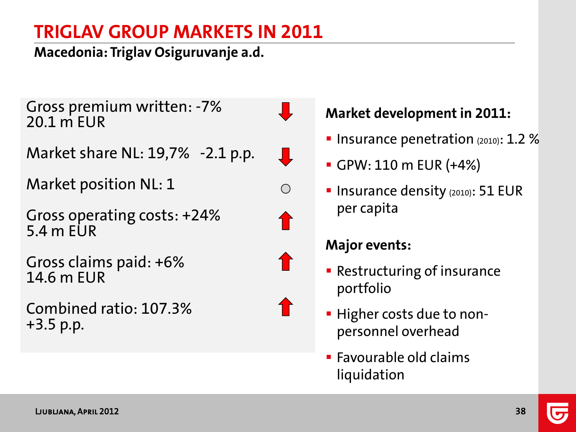**Macedonia: Triglav Osiguruvanje a.d.**

Gross premium written: -7% 20.1 m EUR

 $\bigcirc$ 

Market share NL: 19,7% -2.1 p.p.

Market position NL: 1

Gross operating costs: +24% 5.4 m EUR

Gross claims paid: +6% 14.6 m EUR

Combined ratio: 107.3% +3.5 p.p.

### **Market development in 2011:**

- **Insurance penetration**  $(2010)$ : 1.2 %
- GPW: 110 m EUR (+4%)
- **Insurance density (2010): 51 EUR** per capita

- **Restructuring of insurance** portfolio
- **Higher costs due to non**personnel overhead
- **Favourable old claims** liquidation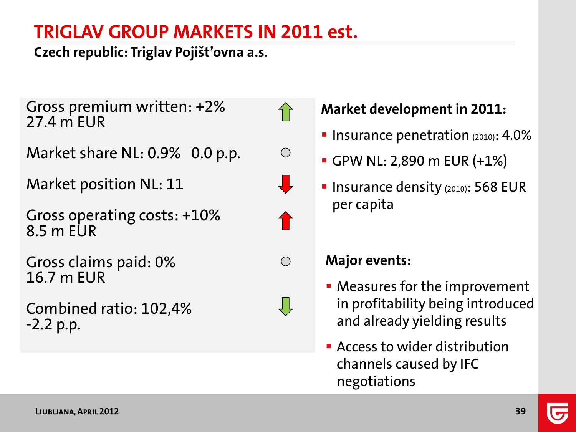## **TRIGLAV GROUP MARKETS IN 2011 est.**

 $\bigcap$ 

 $\bigcirc$ 

 $\bigcirc$ 

₹Ļ

**Czech republic: Triglav Pojišt'ovna a.s.**

Gross premium written: +2% 27.4 m EUR

Market share NL: 0.9% 0.0 p.p.

Market position NL: 11

Gross operating costs: +10% 8.5 m EUR

Gross claims paid: 0% 16.7 m EUR

Combined ratio: 102,4% -2.2 p.p.

**Market development in 2011:**

- **Insurance penetration**  $(2010)$ : 4.0%
- GPW NL: 2,890 m EUR (+1%)
- **Insurance density (2010): 568 EUR** per capita

- Measures for the improvement in profitability being introduced and already yielding results
- **EX Access to wider distribution** channels caused by IFC negotiations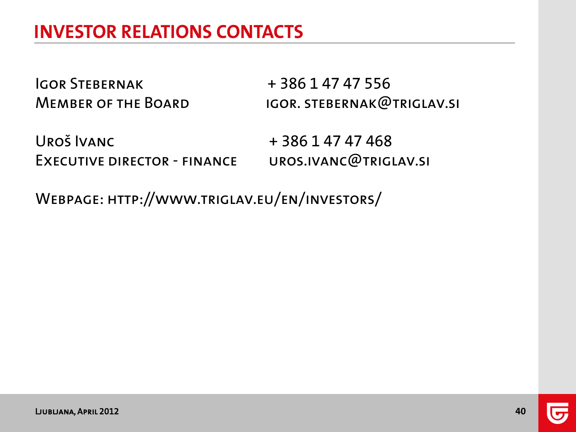Igor Stebernak + 386 1 47 47 556

MEMBER OF THE BOARD IGOR. STEBERNAK@TRIGLAV.SI

UROŠ IVANC + 386 1 47 47 468 Executive director - finance uros.ivanc@triglav.si

Webpage: http://www.triglav.eu/en/investors/